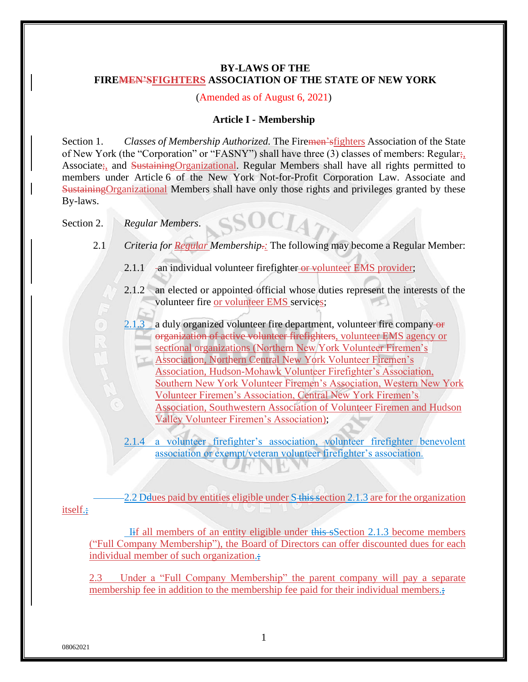# **BY-LAWS OF THE FIREMEN'SFIGHTERS ASSOCIATION OF THE STATE OF NEW YORK**

#### (Amended as of August 6, 2021)

#### **Article I - Membership**

Section 1. *Classes of Membership Authorized*. The Firemen's fighters Association of the State of New York (the "Corporation" or "FASNY") shall have three (3) classes of members: Regular; Associate; and SustainingOrganizational. Regular Members shall have all rights permitted to members under Article 6 of the New York Not-for-Profit Corporation Law. Associate and SustainingOrganizational Members shall have only those rights and privileges granted by these By-laws.

 $\mathbf{S}\mathbf{OCL}$ 

Section 2. *Regular Members*.

- 2.1 *Criteria for Regular Membership.:* The following may become a Regular Member:
	- 2.1.1 an individual volunteer firefighter or volunteer EMS provider;
	- 2.1.2 an elected or appointed official whose duties represent the interests of the volunteer fire or volunteer EMS services;
	- 2.1.3 a duly organized volunteer fire department, volunteer fire company  $\Theta$ organization of active volunteer firefighters, volunteer EMS agency or sectional organizations (Northern New York Volunteer Firemen's Association, Northern Central New York Volunteer Firemen's Association, Hudson-Mohawk Volunteer Firefighter's Association, Southern New York Volunteer Firemen's Association, Western New York Volunteer Firemen's Association, Central New York Firemen's Association, Southwestern Association of Volunteer Firemen and Hudson Valley Volunteer Firemen's Association);
	- 2.1.4 a volunteer firefighter's association, volunteer firefighter benevolent association or exempt/veteran volunteer firefighter's association.

2.2 Delues paid by entities eligible under S-this section 2.1.3 are for the organization

itself.;

 Iif all members of an entity eligible under this sSection 2.1.3 become members ("Full Company Membership"), the Board of Directors can offer discounted dues for each individual member of such organization.

2.3 Under a "Full Company Membership" the parent company will pay a separate membership fee in addition to the membership fee paid for their individual members.;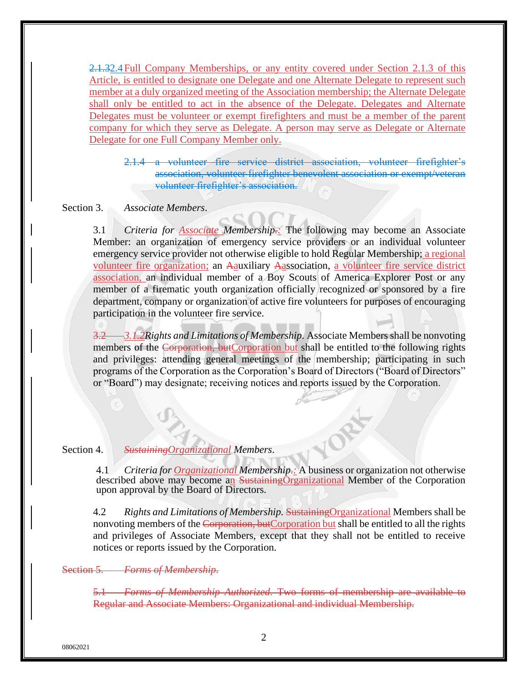2.1.32.4Full Company Memberships, or any entity covered under Section 2.1.3 of this Article, is entitled to designate one Delegate and one Alternate Delegate to represent such member at a duly organized meeting of the Association membership; the Alternate Delegate shall only be entitled to act in the absence of the Delegate. Delegates and Alternate Delegates must be volunteer or exempt firefighters and must be a member of the parent company for which they serve as Delegate. A person may serve as Delegate or Alternate Delegate for one Full Company Member only.

2.1.4 a volunteer fire service district association, volunteer firefighter's association, volunteer firefighter benevolent association or exempt/veteran volunteer firefighter's association.

#### Section 3. *Associate Members*.

3.1 *Criteria for Associate Membership.:* The following may become an Associate Member: an organization of emergency service providers or an individual volunteer emergency service provider not otherwise eligible to hold Regular Membership; a regional volunteer fire organization; an Aauxiliary Aassociation, a volunteer fire service district association, an individual member of a Boy Scouts of America Explorer Post or any member of a firematic youth organization officially recognized or sponsored by a fire department, company or organization of active fire volunteers for purposes of encouraging participation in the volunteer fire service.

3.2 *3.1.2Rights and Limitations of Membership.* Associate Members shall be nonvoting members of the Corporation, butCorporation but shall be entitled to the following rights and privileges: attending general meetings of the membership; participating in such programs of the Corporation as the Corporation's Board of Directors ("Board of Directors" or "Board") may designate; receiving notices and reports issued by the Corporation.

### Section 4. *SustainingOrganizational Members*.

4.1 *Criteria for Organizational Membership.:* A business or organization not otherwise described above may become an SustainingOrganizational Member of the Corporation upon approval by the Board of Directors.

4.2 *Rights and Limitations of Membership.* SustainingOrganizational Members shall be nonvoting members of the Corporation, butCorporation but shall be entitled to all the rights and privileges of Associate Members, except that they shall not be entitled to receive notices or reports issued by the Corporation.

# Section 5. *Forms of Membership*.

5.1 *Forms of Membership Authorized.* Two forms of membership are available to Regular and Associate Members: Organizational and individual Membership.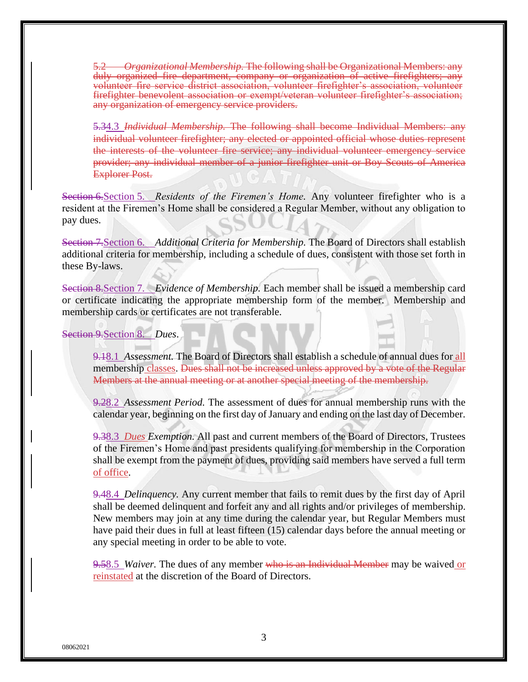5.2 *Organizational Membership.* The following shall be Organizational Members: any duly organized fire department, company or organization of active firefighters; any volunteer fire service district association, volunteer firefighter's association, volunteer firefighter benevolent association or exempt/veteran volunteer firefighter's association; any organization of emergency service providers.

5.34.3 *Individual Membership.* The following shall become Individual Members: any individual volunteer firefighter; any elected or appointed official whose duties represent the interests of the volunteer fire service; any individual volunteer emergency service provider; any individual member of a junior firefighter unit or Boy Scouts of America Explorer Post.

Section 6.Section 5. *Residents of the Firemen's Home.* Any volunteer firefighter who is a resident at the Firemen's Home shall be considered a Regular Member, without any obligation to pay dues.

Section 7.Section 6. *Additional Criteria for Membership.* The Board of Directors shall establish additional criteria for membership, including a schedule of dues, consistent with those set forth in these By-laws.

Section 8.Section 7. *Evidence of Membership.* Each member shall be issued a membership card or certificate indicating the appropriate membership form of the member. Membership and membership cards or certificates are not transferable.

Section 9.Section 8. *Dues*.

9.18.1 *Assessment.* The Board of Directors shall establish a schedule of annual dues for all membership classes. Dues shall not be increased unless approved by a vote of the Regular Members at the annual meeting or at another special meeting of the membership.

9.28.2 *Assessment Period.* The assessment of dues for annual membership runs with the calendar year, beginning on the first day of January and ending on the last day of December.

9.38.3 *Dues Exemption.* All past and current members of the Board of Directors, Trustees of the Firemen's Home and past presidents qualifying for membership in the Corporation shall be exempt from the payment of dues, providing said members have served a full term of office.

9.48.4 *Delinquency.* Any current member that fails to remit dues by the first day of April shall be deemed delinquent and forfeit any and all rights and/or privileges of membership. New members may join at any time during the calendar year, but Regular Members must have paid their dues in full at least fifteen (15) calendar days before the annual meeting or any special meeting in order to be able to vote.

9.58.5 *Waiver.* The dues of any member who is an Individual Member may be waived or reinstated at the discretion of the Board of Directors.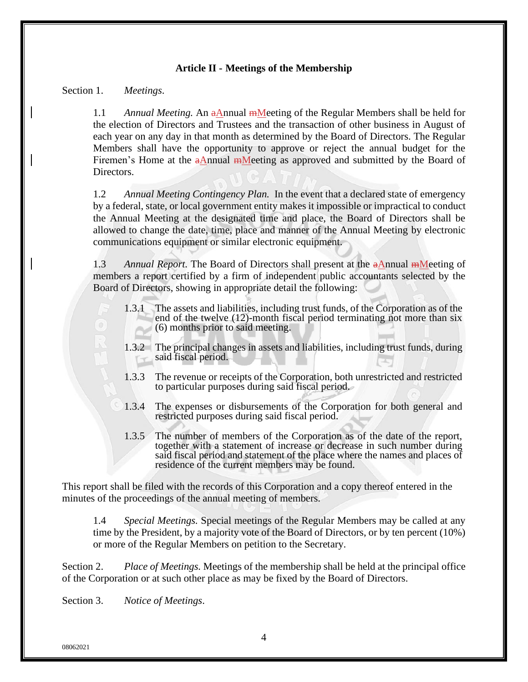### **Article II - Meetings of the Membership**

#### Section 1. *Meetings*.

1.1 *Annual Meeting.* An aAnnual mMeeting of the Regular Members shall be held for the election of Directors and Trustees and the transaction of other business in August of each year on any day in that month as determined by the Board of Directors. The Regular Members shall have the opportunity to approve or reject the annual budget for the Firemen's Home at the  $a$ Annual  $m$ Meeting as approved and submitted by the Board of Directors.

1.2 *Annual Meeting Contingency Plan.* In the event that a declared state of emergency by a federal, state, or local government entity makes it impossible or impractical to conduct the Annual Meeting at the designated time and place, the Board of Directors shall be allowed to change the date, time, place and manner of the Annual Meeting by electronic communications equipment or similar electronic equipment.

1.3 *Annual Report.* The Board of Directors shall present at the aAnnual mMeeting of members a report certified by a firm of independent public accountants selected by the Board of Directors, showing in appropriate detail the following:

- 1.3.1 The assets and liabilities, including trust funds, of the Corporation as of the end of the twelve (12)-month fiscal period terminating not more than six (6) months prior to said meeting.
- 1.3.2 The principal changes in assets and liabilities, including trust funds, during said fiscal period.
- 1.3.3 The revenue or receipts of the Corporation, both unrestricted and restricted to particular purposes during said fiscal period.
- 1.3.4 The expenses or disbursements of the Corporation for both general and restricted purposes during said fiscal period.
- 1.3.5 The number of members of the Corporation as of the date of the report, together with a statement of increase or decrease in such number during said fiscal period and statement of the place where the names and places of residence of the current members may be found.

This report shall be filed with the records of this Corporation and a copy thereof entered in the minutes of the proceedings of the annual meeting of members.

1.4 *Special Meetings.* Special meetings of the Regular Members may be called at any time by the President, by a majority vote of the Board of Directors, or by ten percent (10%) or more of the Regular Members on petition to the Secretary.

Section 2. *Place of Meetings.* Meetings of the membership shall be held at the principal office of the Corporation or at such other place as may be fixed by the Board of Directors.

Section 3. *Notice of Meetings*.

08062021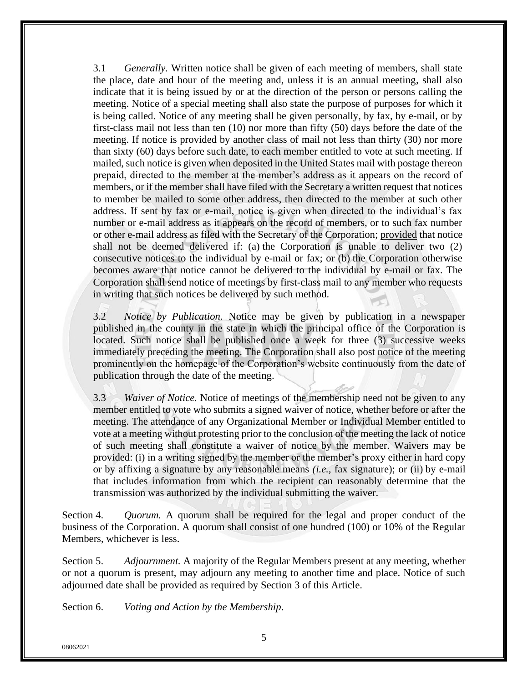3.1 *Generally.* Written notice shall be given of each meeting of members, shall state the place, date and hour of the meeting and, unless it is an annual meeting, shall also indicate that it is being issued by or at the direction of the person or persons calling the meeting. Notice of a special meeting shall also state the purpose of purposes for which it is being called. Notice of any meeting shall be given personally, by fax, by e-mail, or by first-class mail not less than ten (10) nor more than fifty (50) days before the date of the meeting. If notice is provided by another class of mail not less than thirty (30) nor more than sixty (60) days before such date, to each member entitled to vote at such meeting. If mailed, such notice is given when deposited in the United States mail with postage thereon prepaid, directed to the member at the member's address as it appears on the record of members, or if the member shall have filed with the Secretary a written request that notices to member be mailed to some other address, then directed to the member at such other address. If sent by fax or e-mail, notice is given when directed to the individual's fax number or e-mail address as it appears on the record of members, or to such fax number or other e-mail address as filed with the Secretary of the Corporation; provided that notice shall not be deemed delivered if: (a) the Corporation is unable to deliver two (2) consecutive notices to the individual by e-mail or fax; or (b) the Corporation otherwise becomes aware that notice cannot be delivered to the individual by e-mail or fax. The Corporation shall send notice of meetings by first-class mail to any member who requests in writing that such notices be delivered by such method.

3.2 *Notice by Publication.* Notice may be given by publication in a newspaper published in the county in the state in which the principal office of the Corporation is located. Such notice shall be published once a week for three (3) successive weeks immediately preceding the meeting. The Corporation shall also post notice of the meeting prominently on the homepage of the Corporation's website continuously from the date of publication through the date of the meeting.

3.3 *Waiver of Notice.* Notice of meetings of the membership need not be given to any member entitled to vote who submits a signed waiver of notice, whether before or after the meeting. The attendance of any Organizational Member or Individual Member entitled to vote at a meeting without protesting prior to the conclusion of the meeting the lack of notice of such meeting shall constitute a waiver of notice by the member. Waivers may be provided: (i) in a writing signed by the member or the member's proxy either in hard copy or by affixing a signature by any reasonable means *(i.e.,* fax signature); or (ii) by e-mail that includes information from which the recipient can reasonably determine that the transmission was authorized by the individual submitting the waiver.

Section 4. *Quorum.* A quorum shall be required for the legal and proper conduct of the business of the Corporation. A quorum shall consist of one hundred (100) or 10% of the Regular Members, whichever is less.

Section 5. *Adjournment.* A majority of the Regular Members present at any meeting, whether or not a quorum is present, may adjourn any meeting to another time and place. Notice of such adjourned date shall be provided as required by Section 3 of this Article.

Section 6. *Voting and Action by the Membership*.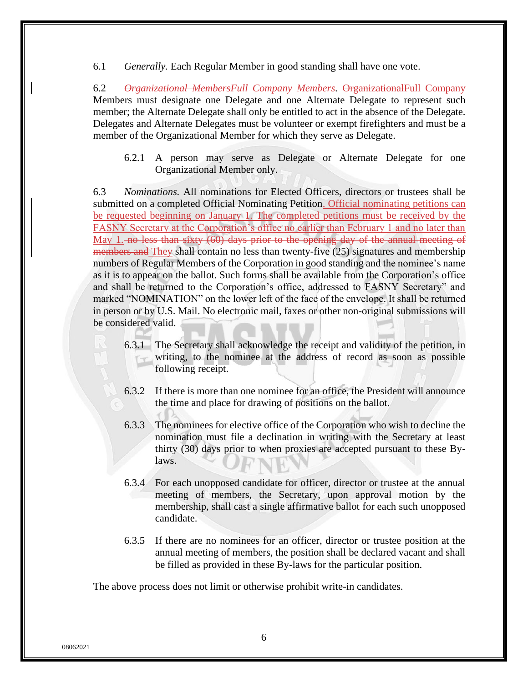6.1 *Generally.* Each Regular Member in good standing shall have one vote.

6.2 *Organizational MembersFull Company Members.* OrganizationalFull Company Members must designate one Delegate and one Alternate Delegate to represent such member; the Alternate Delegate shall only be entitled to act in the absence of the Delegate. Delegates and Alternate Delegates must be volunteer or exempt firefighters and must be a member of the Organizational Member for which they serve as Delegate.

6.2.1 A person may serve as Delegate or Alternate Delegate for one Organizational Member only.

6.3 *Nominations.* All nominations for Elected Officers, directors or trustees shall be submitted on a completed Official Nominating Petition. Official nominating petitions can be requested beginning on January 1. The completed petitions must be received by the FASNY Secretary at the Corporation's office no earlier than February 1 and no later than May 1. no less than sixty (60) days prior to the opening day of the annual meeting of members and They shall contain no less than twenty-five (25) signatures and membership numbers of Regular Members of the Corporation in good standing and the nominee's name as it is to appear on the ballot. Such forms shall be available from the Corporation's office and shall be returned to the Corporation's office, addressed to FASNY Secretary" and marked "NOMINATION" on the lower left of the face of the envelope. It shall be returned in person or by U.S. Mail. No electronic mail, faxes or other non-original submissions will be considered valid.

- 6.3.1 The Secretary shall acknowledge the receipt and validity of the petition, in writing, to the nominee at the address of record as soon as possible following receipt.
- 6.3.2 If there is more than one nominee for an office, the President will announce the time and place for drawing of positions on the ballot.
- 6.3.3 The nominees for elective office of the Corporation who wish to decline the nomination must file a declination in writing with the Secretary at least thirty (30) days prior to when proxies are accepted pursuant to these Bylaws.
- 6.3.4 For each unopposed candidate for officer, director or trustee at the annual meeting of members, the Secretary, upon approval motion by the membership, shall cast a single affirmative ballot for each such unopposed candidate.
- 6.3.5 If there are no nominees for an officer, director or trustee position at the annual meeting of members, the position shall be declared vacant and shall be filled as provided in these By-laws for the particular position.

The above process does not limit or otherwise prohibit write-in candidates.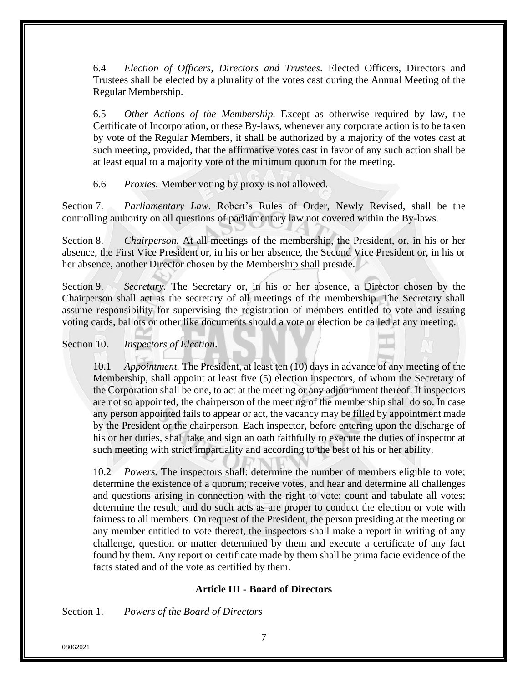6.4 *Election of Officers, Directors and Trustees.* Elected Officers, Directors and Trustees shall be elected by a plurality of the votes cast during the Annual Meeting of the Regular Membership.

6.5 *Other Actions of the Membership.* Except as otherwise required by law, the Certificate of Incorporation, or these By-laws, whenever any corporate action is to be taken by vote of the Regular Members, it shall be authorized by a majority of the votes cast at such meeting, provided, that the affirmative votes cast in favor of any such action shall be at least equal to a majority vote of the minimum quorum for the meeting.

6.6 *Proxies.* Member voting by proxy is not allowed.

Section 7. *Parliamentary Law*. Robert's Rules of Order, Newly Revised, shall be the controlling authority on all questions of parliamentary law not covered within the By-laws.

Section 8. *Chairperson.* At all meetings of the membership, the President, or, in his or her absence, the First Vice President or, in his or her absence, the Second Vice President or, in his or her absence, another Director chosen by the Membership shall preside.

Section 9. *Secretary.* The Secretary or, in his or her absence, a Director chosen by the Chairperson shall act as the secretary of all meetings of the membership. The Secretary shall assume responsibility for supervising the registration of members entitled to vote and issuing voting cards, ballots or other like documents should a vote or election be called at any meeting.

# Section 10. *Inspectors of Election*.

10.1 *Appointment.* The President, at least ten (10) days in advance of any meeting of the Membership, shall appoint at least five (5) election inspectors, of whom the Secretary of the Corporation shall be one, to act at the meeting or any adjournment thereof. If inspectors are not so appointed, the chairperson of the meeting of the membership shall do so. In case any person appointed fails to appear or act, the vacancy may be filled by appointment made by the President or the chairperson. Each inspector, before entering upon the discharge of his or her duties, shall take and sign an oath faithfully to execute the duties of inspector at such meeting with strict impartiality and according to the best of his or her ability.

10.2 *Powers.* The inspectors shall: determine the number of members eligible to vote; determine the existence of a quorum; receive votes, and hear and determine all challenges and questions arising in connection with the right to vote; count and tabulate all votes; determine the result; and do such acts as are proper to conduct the election or vote with fairness to all members. On request of the President, the person presiding at the meeting or any member entitled to vote thereat, the inspectors shall make a report in writing of any challenge, question or matter determined by them and execute a certificate of any fact found by them. Any report or certificate made by them shall be prima facie evidence of the facts stated and of the vote as certified by them.

# **Article III - Board of Directors**

Section 1. *Powers of the Board of Directors*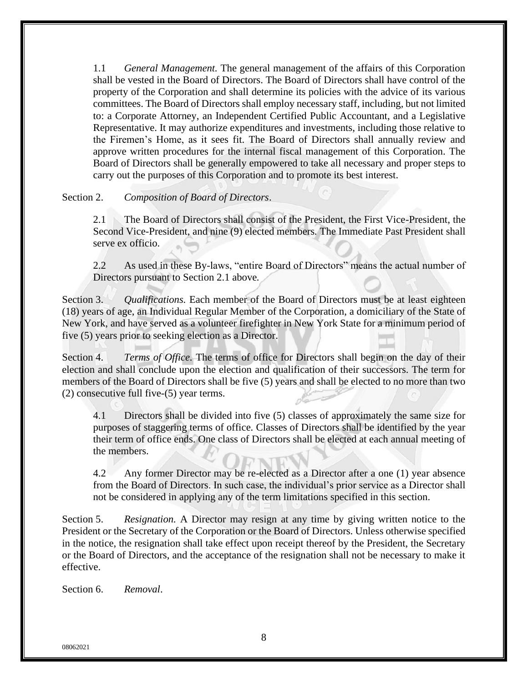1.1 *General Management.* The general management of the affairs of this Corporation shall be vested in the Board of Directors. The Board of Directors shall have control of the property of the Corporation and shall determine its policies with the advice of its various committees. The Board of Directors shall employ necessary staff, including, but not limited to: a Corporate Attorney, an Independent Certified Public Accountant, and a Legislative Representative. It may authorize expenditures and investments, including those relative to the Firemen's Home, as it sees fit. The Board of Directors shall annually review and approve written procedures for the internal fiscal management of this Corporation. The Board of Directors shall be generally empowered to take all necessary and proper steps to carry out the purposes of this Corporation and to promote its best interest.

#### Section 2. *Composition of Board of Directors*.

2.1 The Board of Directors shall consist of the President, the First Vice-President, the Second Vice-President, and nine (9) elected members*.* The Immediate Past President shall serve ex officio.

2.2 As used in these By-laws, "entire Board of Directors" means the actual number of Directors pursuant to Section 2.1 above*.*

Section 3. *Qualifications.* Each member of the Board of Directors must be at least eighteen (18) years of age, an Individual Regular Member of the Corporation, a domiciliary of the State of New York, and have served as a volunteer firefighter in New York State for a minimum period of five (5) years prior to seeking election as a Director.

Section 4. *Terms of Office.* The terms of office for Directors shall begin on the day of their election and shall conclude upon the election and qualification of their successors. The term for members of the Board of Directors shall be five (5) years and shall be elected to no more than two (2) consecutive full five-(5) year terms.

4.1 Directors shall be divided into five (5) classes of approximately the same size for purposes of staggering terms of office*.* Classes of Directors shall be identified by the year their term of office ends. One class of Directors shall be elected at each annual meeting of the members.

4.2 Any former Director may be re-elected as a Director after a one (1) year absence from the Board of Directors. In such case, the individual's prior service as a Director shall not be considered in applying any of the term limitations specified in this section.

Section 5. *Resignation.* A Director may resign at any time by giving written notice to the President or the Secretary of the Corporation or the Board of Directors. Unless otherwise specified in the notice, the resignation shall take effect upon receipt thereof by the President, the Secretary or the Board of Directors, and the acceptance of the resignation shall not be necessary to make it effective.

Section 6. *Removal*.

08062021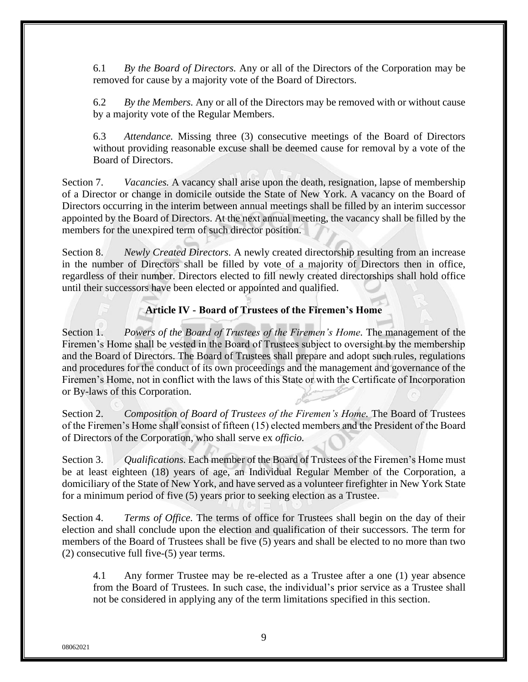6.1 *By the Board of Directors.* Any or all of the Directors of the Corporation may be removed for cause by a majority vote of the Board of Directors.

6.2 *By the Members.* Any or all of the Directors may be removed with or without cause by a majority vote of the Regular Members.

6.3 *Attendance.* Missing three (3) consecutive meetings of the Board of Directors without providing reasonable excuse shall be deemed cause for removal by a vote of the Board of Directors.

Section 7. *Vacancies.* A vacancy shall arise upon the death, resignation, lapse of membership of a Director or change in domicile outside the State of New York. A vacancy on the Board of Directors occurring in the interim between annual meetings shall be filled by an interim successor appointed by the Board of Directors. At the next annual meeting, the vacancy shall be filled by the members for the unexpired term of such director position.

Section 8. *Newly Created Directors.* A newly created directorship resulting from an increase in the number of Directors shall be filled by vote of a majority of Directors then in office, regardless of their number. Directors elected to fill newly created directorships shall hold office until their successors have been elected or appointed and qualified.

**Article IV - Board of Trustees of the Firemen's Home**

Section 1. *Powers of the Board of Trustees of the Firemen's Home.* The management of the Firemen's Home shall be vested in the Board of Trustees subject to oversight by the membership and the Board of Directors. The Board of Trustees shall prepare and adopt such rules, regulations and procedures for the conduct of its own proceedings and the management and governance of the Firemen's Home, not in conflict with the laws of this State or with the Certificate of Incorporation or By-laws of this Corporation.

Section 2. *Composition of Board of Trustees of the Firemen's Home.* The Board of Trustees of the Firemen's Home shall consist of fifteen (15) elected members and the President of the Board of Directors of the Corporation, who shall serve ex *officio.*

Section 3. *Qualifications.* Each member of the Board of Trustees of the Firemen's Home must be at least eighteen (18) years of age, an Individual Regular Member of the Corporation, a domiciliary of the State of New York, and have served as a volunteer firefighter in New York State for a minimum period of five (5) years prior to seeking election as a Trustee.

Section 4. *Terms of Office.* The terms of office for Trustees shall begin on the day of their election and shall conclude upon the election and qualification of their successors. The term for members of the Board of Trustees shall be five (5) years and shall be elected to no more than two (2) consecutive full five-(5) year terms.

4.1 Any former Trustee may be re-elected as a Trustee after a one (1) year absence from the Board of Trustees*.* In such case, the individual's prior service as a Trustee shall not be considered in applying any of the term limitations specified in this section.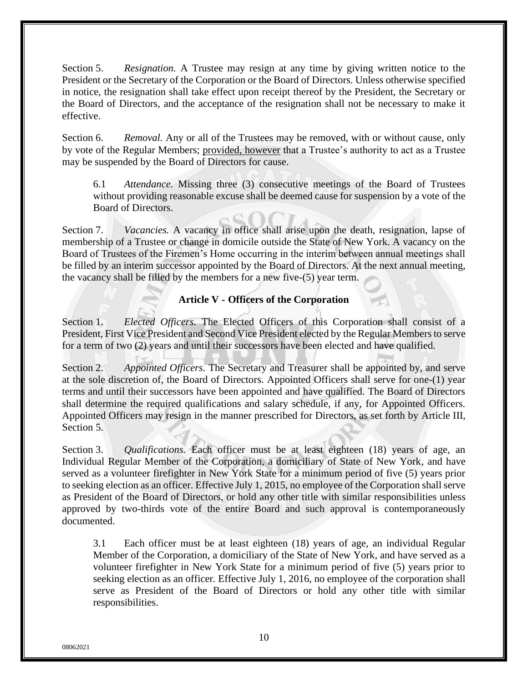Section 5. *Resignation.* A Trustee may resign at any time by giving written notice to the President or the Secretary of the Corporation or the Board of Directors. Unless otherwise specified in notice, the resignation shall take effect upon receipt thereof by the President, the Secretary or the Board of Directors, and the acceptance of the resignation shall not be necessary to make it effective.

Section 6. *Removal.* Any or all of the Trustees may be removed, with or without cause, only by vote of the Regular Members; provided, however that a Trustee's authority to act as a Trustee may be suspended by the Board of Directors for cause.

6.1 *Attendance.* Missing three (3) consecutive meetings of the Board of Trustees without providing reasonable excuse shall be deemed cause for suspension by a vote of the Board of Directors.

Section 7. *Vacancies.* A vacancy in office shall arise upon the death, resignation, lapse of membership of a Trustee or change in domicile outside the State of New York. A vacancy on the Board of Trustees of the Firemen's Home occurring in the interim between annual meetings shall be filled by an interim successor appointed by the Board of Directors. At the next annual meeting, the vacancy shall be filled by the members for a new five-(5) year term.

# **Article V - Officers of the Corporation**

Section 1. *Elected Officers*. The Elected Officers of this Corporation shall consist of a President, First Vice President and Second Vice President elected by the Regular Members to serve for a term of two (2) years and until their successors have been elected and have qualified.

Section 2. *Appointed Officers.* The Secretary and Treasurer shall be appointed by, and serve at the sole discretion of, the Board of Directors. Appointed Officers shall serve for one-(1) year terms and until their successors have been appointed and have qualified. The Board of Directors shall determine the required qualifications and salary schedule, if any, for Appointed Officers. Appointed Officers may resign in the manner prescribed for Directors, as set forth by Article III, Section 5.

Section 3. *Qualifications*. Each officer must be at least eighteen (18) years of age, an Individual Regular Member of the Corporation, a domiciliary of State of New York, and have served as a volunteer firefighter in New York State for a minimum period of five (5) years prior to seeking election as an officer. Effective July 1, 2015, no employee of the Corporation shall serve as President of the Board of Directors, or hold any other title with similar responsibilities unless approved by two-thirds vote of the entire Board and such approval is contemporaneously documented.

3.1 Each officer must be at least eighteen (18) years of age, an individual Regular Member of the Corporation, a domiciliary of the State of New York, and have served as a volunteer firefighter in New York State for a minimum period of five (5) years prior to seeking election as an officer*.* Effective July 1, 2016, no employee of the corporation shall serve as President of the Board of Directors or hold any other title with similar responsibilities.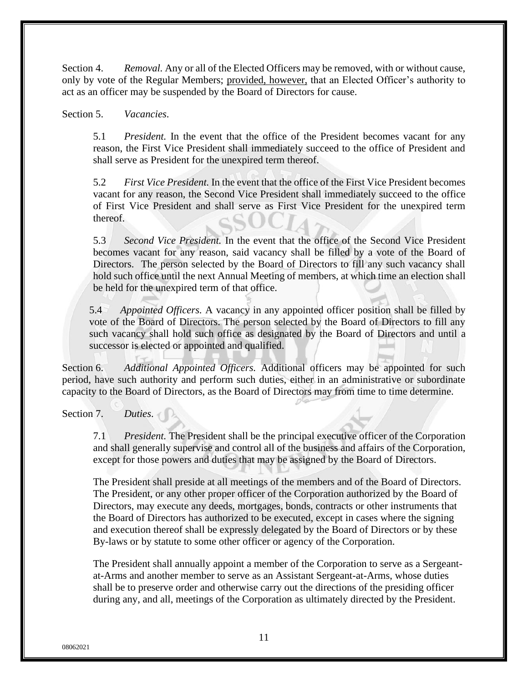Section 4. *Removal.* Any or all of the Elected Officers may be removed, with or without cause, only by vote of the Regular Members; provided, however, that an Elected Officer's authority to act as an officer may be suspended by the Board of Directors for cause.

Section 5. *Vacancies*.

5.1 *President.* In the event that the office of the President becomes vacant for any reason, the First Vice President shall immediately succeed to the office of President and shall serve as President for the unexpired term thereof.

5.2 *First Vice President.* In the event that the office of the First Vice President becomes vacant for any reason, the Second Vice President shall immediately succeed to the office of First Vice President and shall serve as First Vice President for the unexpired term thereof.

5.3 *Second Vice President.* In the event that the office of the Second Vice President becomes vacant for any reason, said vacancy shall be filled by a vote of the Board of Directors. The person selected by the Board of Directors to fill any such vacancy shall hold such office until the next Annual Meeting of members, at which time an election shall be held for the unexpired term of that office.

5.4 *Appointed Officers.* A vacancy in any appointed officer position shall be filled by vote of the Board of Directors. The person selected by the Board of Directors to fill any such vacancy shall hold such office as designated by the Board of Directors and until a successor is elected or appointed and qualified.

Section 6. *Additional Appointed Officers.* Additional officers may be appointed for such period, have such authority and perform such duties, either in an administrative or subordinate capacity to the Board of Directors, as the Board of Directors may from time to time determine.

Section 7. *Duties*.

7.1 *President.* The President shall be the principal executive officer of the Corporation and shall generally supervise and control all of the business and affairs of the Corporation, except for those powers and duties that may be assigned by the Board of Directors.

The President shall preside at all meetings of the members and of the Board of Directors. The President, or any other proper officer of the Corporation authorized by the Board of Directors, may execute any deeds, mortgages, bonds, contracts or other instruments that the Board of Directors has authorized to be executed, except in cases where the signing and execution thereof shall be expressly delegated by the Board of Directors or by these By-laws or by statute to some other officer or agency of the Corporation.

The President shall annually appoint a member of the Corporation to serve as a Sergeantat-Arms and another member to serve as an Assistant Sergeant-at-Arms, whose duties shall be to preserve order and otherwise carry out the directions of the presiding officer during any, and all, meetings of the Corporation as ultimately directed by the President.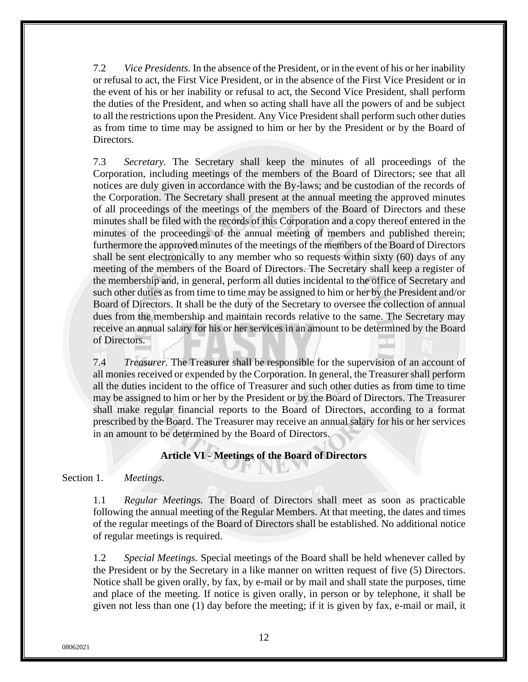7.2 *Vice Presidents.* In the absence of the President, or in the event of his or her inability or refusal to act, the First Vice President, or in the absence of the First Vice President or in the event of his or her inability or refusal to act, the Second Vice President, shall perform the duties of the President, and when so acting shall have all the powers of and be subject to all the restrictions upon the President. Any Vice President shall perform such other duties as from time to time may be assigned to him or her by the President or by the Board of Directors.

7.3 *Secretary.* The Secretary shall keep the minutes of all proceedings of the Corporation, including meetings of the members of the Board of Directors; see that all notices are duly given in accordance with the By-laws; and be custodian of the records of the Corporation. The Secretary shall present at the annual meeting the approved minutes of all proceedings of the meetings of the members of the Board of Directors and these minutes shall be filed with the records of this Corporation and a copy thereof entered in the minutes of the proceedings of the annual meeting of members and published therein; furthermore the approved minutes of the meetings of the members of the Board of Directors shall be sent electronically to any member who so requests within sixty (60) days of any meeting of the members of the Board of Directors. The Secretary shall keep a register of the membership and, in general, perform all duties incidental to the office of Secretary and such other duties as from time to time may be assigned to him or her by the President and/or Board of Directors. It shall be the duty of the Secretary to oversee the collection of annual dues from the membership and maintain records relative to the same. The Secretary may receive an annual salary for his or her services in an amount to be determined by the Board of Directors.

7.4 *Treasurer.* The Treasurer shall be responsible for the supervision of an account of all monies received or expended by the Corporation. In general, the Treasurer shall perform all the duties incident to the office of Treasurer and such other duties as from time to time may be assigned to him or her by the President or by the Board of Directors. The Treasurer shall make regular financial reports to the Board of Directors, according to a format prescribed by the Board. The Treasurer may receive an annual salary for his or her services in an amount to be determined by the Board of Directors.

# **Article VI - Meetings of the Board of Directors**

Section 1. *Meetings*.

1.1 *Regular Meetings.* The Board of Directors shall meet as soon as practicable following the annual meeting of the Regular Members. At that meeting, the dates and times of the regular meetings of the Board of Directors shall be established. No additional notice of regular meetings is required.

1.2 *Special Meetings.* Special meetings of the Board shall be held whenever called by the President or by the Secretary in a like manner on written request of five (5) Directors. Notice shall be given orally, by fax, by e-mail or by mail and shall state the purposes, time and place of the meeting. If notice is given orally, in person or by telephone, it shall be given not less than one (1) day before the meeting; if it is given by fax, e-mail or mail, it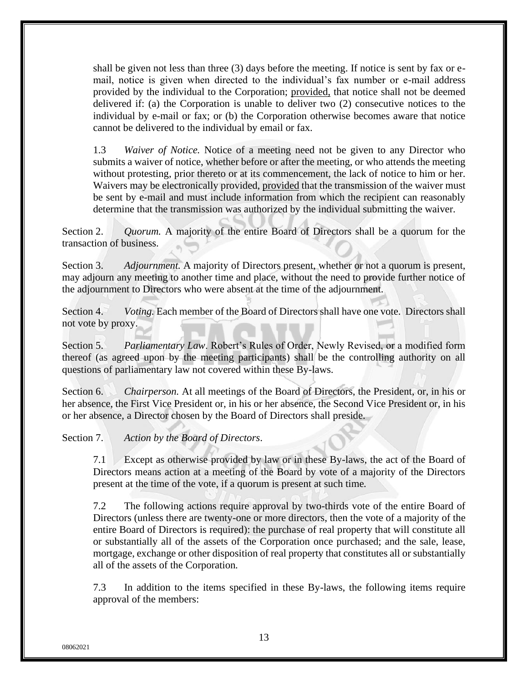shall be given not less than three (3) days before the meeting. If notice is sent by fax or email, notice is given when directed to the individual's fax number or e-mail address provided by the individual to the Corporation; provided, that notice shall not be deemed delivered if: (a) the Corporation is unable to deliver two (2) consecutive notices to the individual by e-mail or fax; or (b) the Corporation otherwise becomes aware that notice cannot be delivered to the individual by email or fax.

1.3 *Waiver of Notice.* Notice of a meeting need not be given to any Director who submits a waiver of notice, whether before or after the meeting, or who attends the meeting without protesting, prior thereto or at its commencement, the lack of notice to him or her. Waivers may be electronically provided, provided that the transmission of the waiver must be sent by e-mail and must include information from which the recipient can reasonably determine that the transmission was authorized by the individual submitting the waiver.

Section 2. *Quorum.* A majority of the entire Board of Directors shall be a quorum for the transaction of business.

Section 3. *Adjournment.* A majority of Directors present, whether or not a quorum is present, may adjourn any meeting to another time and place, without the need to provide further notice of the adjournment to Directors who were absent at the time of the adjournment.

Section 4. *Voting.* Each member of the Board of Directors shall have one vote. Directors shall not vote by proxy.

Section 5. *Parliamentary Law*. Robert's Rules of Order, Newly Revised, or a modified form thereof (as agreed upon by the meeting participants) shall be the controlling authority on all questions of parliamentary law not covered within these By-laws.

Section 6. *Chairperson.* At all meetings of the Board of Directors, the President, or, in his or her absence, the First Vice President or, in his or her absence, the Second Vice President or, in his or her absence, a Director chosen by the Board of Directors shall preside.

Section 7. *Action by the Board of Directors*.

7.1 Except as otherwise provided by law or in these By-laws, the act of the Board of Directors means action at a meeting of the Board by vote of a majority of the Directors present at the time of the vote, if a quorum is present at such time*.*

7.2 The following actions require approval by two-thirds vote of the entire Board of Directors (unless there are twenty-one or more directors, then the vote of a majority of the entire Board of Directors is required): the purchase of real property that will constitute all or substantially all of the assets of the Corporation once purchased; and the sale, lease, mortgage, exchange or other disposition of real property that constitutes all or substantially all of the assets of the Corporation*.*

7.3 In addition to the items specified in these By-laws, the following items require approval of the members: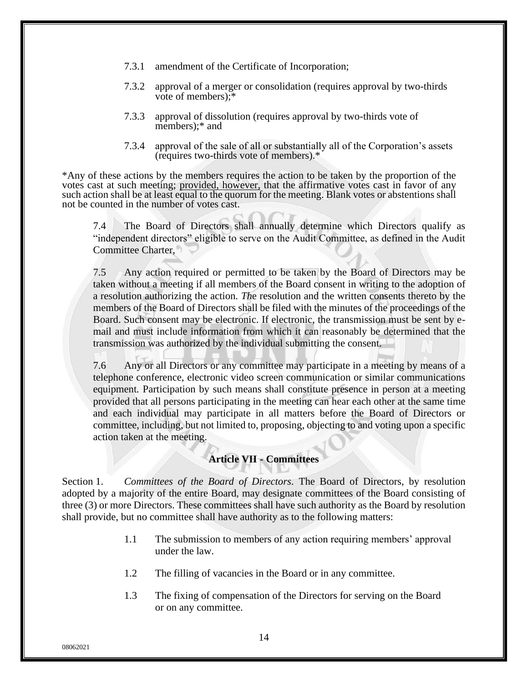- 7.3.1 amendment of the Certificate of Incorporation;
- 7.3.2 approval of a merger or consolidation (requires approval by two-thirds vote of members);\*
- 7.3.3 approval of dissolution (requires approval by two-thirds vote of members);\* and
- 7.3.4 approval of the sale of all or substantially all of the Corporation's assets (requires two-thirds vote of members).\*

\*Any of these actions by the members requires the action to be taken by the proportion of the votes cast at such meeting; provided, however, that the affirmative votes cast in favor of any such action shall be at least equal to the quorum for the meeting. Blank votes or abstentions shall not be counted in the number of votes cast.

7.4 The Board of Directors shall annually determine which Directors qualify as "independent directors" eligible to serve on the Audit Committee, as defined in the Audit Committee Charter,

7.5 Any action required or permitted to be taken by the Board of Directors may be taken without a meeting if all members of the Board consent in writing to the adoption of a resolution authorizing the action*. Th*e resolution and the written consents thereto by the members of the Board of Directors shall be filed with the minutes of the proceedings of the Board. Such consent may be electronic. If electronic, the transmission must be sent by email and must include information from which it can reasonably be determined that the transmission was authorized by the individual submitting the consent.

7.6 Any or all Directors or any committee may participate in a meeting by means of a telephone conference, electronic video screen communication or similar communications equipment*.* Participation by such means shall constitute presence in person at a meeting provided that all persons participating in the meeting can hear each other at the same time and each individual may participate in all matters before the Board of Directors or committee, including, but not limited to, proposing, objecting to and voting upon a specific action taken at the meeting.

# **Article VII - Committees**

Section 1. *Committees of the Board of Directors.* The Board of Directors, by resolution adopted by a majority of the entire Board, may designate committees of the Board consisting of three (3) or more Directors. These committees shall have such authority as the Board by resolution shall provide, but no committee shall have authority as to the following matters:

- 1.1 The submission to members of any action requiring members' approval under the law.
- 1.2 The filling of vacancies in the Board or in any committee.
- 1.3 The fixing of compensation of the Directors for serving on the Board or on any committee.

08062021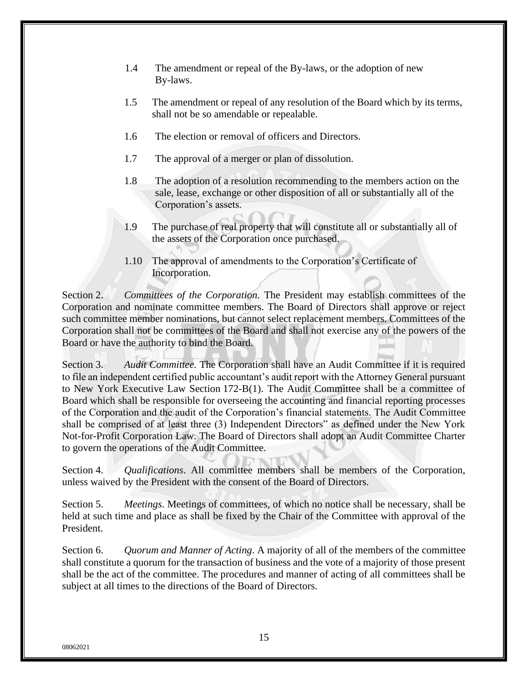- 1.4 The amendment or repeal of the By-laws, or the adoption of new By-laws.
- 1.5 The amendment or repeal of any resolution of the Board which by its terms, shall not be so amendable or repealable.
- 1.6 The election or removal of officers and Directors.
- 1.7 The approval of a merger or plan of dissolution.
- 1.8 The adoption of a resolution recommending to the members action on the sale, lease, exchange or other disposition of all or substantially all of the Corporation's assets.
- 1.9 The purchase of real property that will constitute all or substantially all of the assets of the Corporation once purchased.
- 1.10 The approval of amendments to the Corporation's Certificate of Incorporation.

Section 2. *Committees of the Corporation*. The President may establish committees of the Corporation and nominate committee members. The Board of Directors shall approve or reject such committee member nominations, but cannot select replacement members. Committees of the Corporation shall not be committees of the Board and shall not exercise any of the powers of the Board or have the authority to bind the Board.

Section 3. *Audit Committee.* The Corporation shall have an Audit Committee if it is required to file an independent certified public accountant's audit report with the Attorney General pursuant to New York Executive Law Section 172-B(1). The Audit Committee shall be a committee of Board which shall be responsible for overseeing the accounting and financial reporting processes of the Corporation and the audit of the Corporation's financial statements. The Audit Committee shall be comprised of at least three (3) Independent Directors" as defined under the New York Not-for-Profit Corporation Law. The Board of Directors shall adopt an Audit Committee Charter to govern the operations of the Audit Committee.

Section 4. *Qualifications*. All committee members shall be members of the Corporation, unless waived by the President with the consent of the Board of Directors.

Section 5. *Meetings*. Meetings of committees, of which no notice shall be necessary, shall be held at such time and place as shall be fixed by the Chair of the Committee with approval of the President.

Section 6. *Quorum and Manner of Acting*. A majority of all of the members of the committee shall constitute a quorum for the transaction of business and the vote of a majority of those present shall be the act of the committee. The procedures and manner of acting of all committees shall be subject at all times to the directions of the Board of Directors.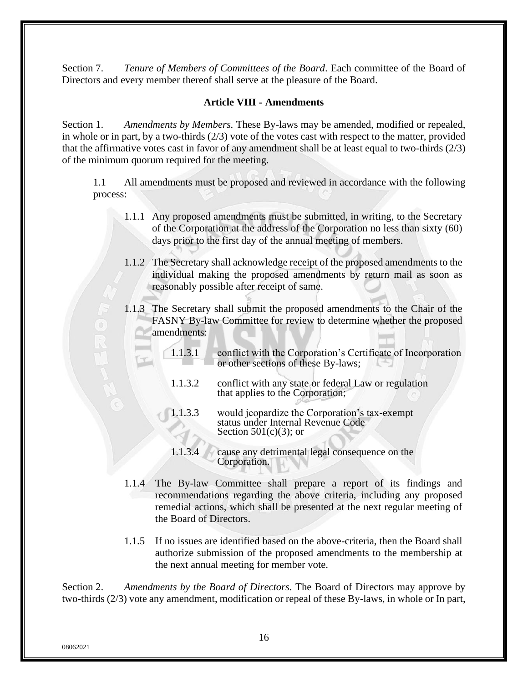Section 7. *Tenure of Members of Committees of the Board*. Each committee of the Board of Directors and every member thereof shall serve at the pleasure of the Board.

# **Article VIII - Amendments**

Section 1. *Amendments by Members.* These By-laws may be amended, modified or repealed, in whole or in part, by a two-thirds (2/3) vote of the votes cast with respect to the matter, provided that the affirmative votes cast in favor of any amendment shall be at least equal to two-thirds (2/3) of the minimum quorum required for the meeting.

1.1 All amendments must be proposed and reviewed in accordance with the following process:

- 1.1.1 Any proposed amendments must be submitted, in writing, to the Secretary of the Corporation at the address of the Corporation no less than sixty (60) days prior to the first day of the annual meeting of members.
- 1.1.2 The Secretary shall acknowledge receipt of the proposed amendments to the individual making the proposed amendments by return mail as soon as reasonably possible after receipt of same.
- 1.1.3 The Secretary shall submit the proposed amendments to the Chair of the FASNY By-law Committee for review to determine whether the proposed amendments:
	- 1.1.3.1 conflict with the Corporation's Certificate of Incorporation or other sections of these By-laws;
	- 1.1.3.2 conflict with any state or federal Law or regulation that applies to the Corporation;
	- 1.1.3.3 would jeopardize the Corporation's tax-exempt status under Internal Revenue Code Section  $501(c)(3)$ ; or
	- 1.1.3.4 cause any detrimental legal consequence on the Corporation.
- 1.1.4 The By-law Committee shall prepare a report of its findings and recommendations regarding the above criteria, including any proposed remedial actions, which shall be presented at the next regular meeting of the Board of Directors.
- 1.1.5 If no issues are identified based on the above-criteria, then the Board shall authorize submission of the proposed amendments to the membership at the next annual meeting for member vote.

Section 2. *Amendments by the Board of Directors.* The Board of Directors may approve by two-thirds (2/3) vote any amendment, modification or repeal of these By-laws, in whole or In part,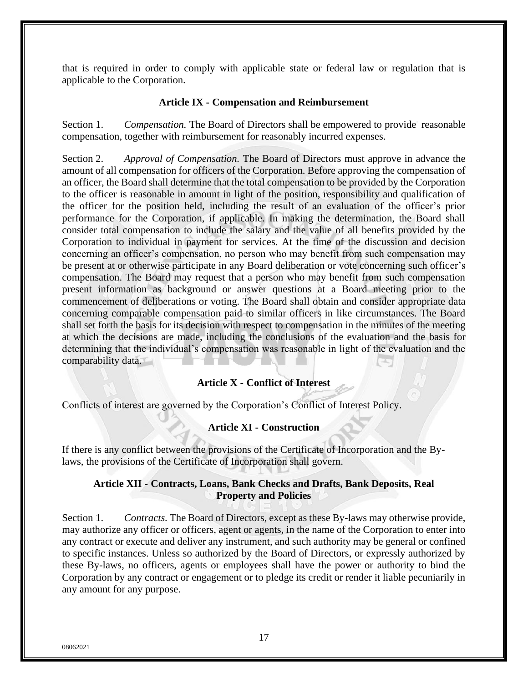that is required in order to comply with applicable state or federal law or regulation that is applicable to the Corporation.

#### **Article IX - Compensation and Reimbursement**

Section 1. Compensation. The Board of Directors shall be empowered to provide<sup>-</sup> reasonable compensation, together with reimbursement for reasonably incurred expenses.

Section 2. *Approval of Compensation.* The Board of Directors must approve in advance the amount of all compensation for officers of the Corporation. Before approving the compensation of an officer, the Board shall determine that the total compensation to be provided by the Corporation to the officer is reasonable in amount in light of the position, responsibility and qualification of the officer for the position held, including the result of an evaluation of the officer's prior performance for the Corporation, if applicable. In making the determination, the Board shall consider total compensation to include the salary and the value of all benefits provided by the Corporation to individual in payment for services. At the time of the discussion and decision concerning an officer's compensation, no person who may benefit from such compensation may be present at or otherwise participate in any Board deliberation or vote concerning such officer's compensation. The Board may request that a person who may benefit from such compensation present information as background or answer questions at a Board meeting prior to the commencement of deliberations or voting. The Board shall obtain and consider appropriate data concerning comparable compensation paid to similar officers in like circumstances. The Board shall set forth the basis for its decision with respect to compensation in the minutes of the meeting at which the decisions are made, including the conclusions of the evaluation and the basis for determining that the individual's compensation was reasonable in light of the evaluation and the comparability data.

### **Article X - Conflict of Interest**

Conflicts of interest are governed by the Corporation's Conflict of Interest Policy.

#### **Article XI - Construction**

If there is any conflict between the provisions of the Certificate of Incorporation and the Bylaws, the provisions of the Certificate of Incorporation shall govern.

### **Article XII - Contracts, Loans, Bank Checks and Drafts, Bank Deposits, Real Property and Policies**

Section 1. *Contracts.* The Board of Directors, except as these By-laws may otherwise provide, may authorize any officer or officers, agent or agents, in the name of the Corporation to enter into any contract or execute and deliver any instrument, and such authority may be general or confined to specific instances. Unless so authorized by the Board of Directors, or expressly authorized by these By-laws, no officers, agents or employees shall have the power or authority to bind the Corporation by any contract or engagement or to pledge its credit or render it liable pecuniarily in any amount for any purpose.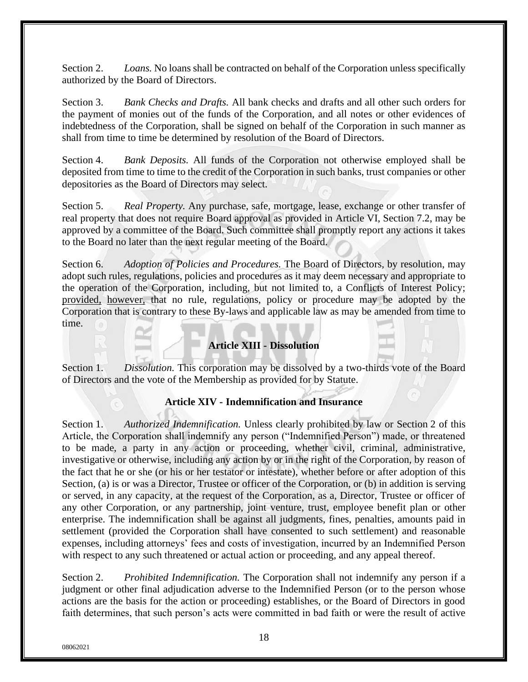Section 2. *Loans.* No loans shall be contracted on behalf of the Corporation unless specifically authorized by the Board of Directors.

Section 3. *Bank Checks and Drafts.* All bank checks and drafts and all other such orders for the payment of monies out of the funds of the Corporation, and all notes or other evidences of indebtedness of the Corporation, shall be signed on behalf of the Corporation in such manner as shall from time to time be determined by resolution of the Board of Directors.

Section 4. *Bank Deposits.* All funds of the Corporation not otherwise employed shall be deposited from time to time to the credit of the Corporation in such banks, trust companies or other depositories as the Board of Directors may select.

Section 5. *Real Property.* Any purchase, safe, mortgage, lease, exchange or other transfer of real property that does not require Board approval as provided in Article VI, Section 7.2, may be approved by a committee of the Board. Such committee shall promptly report any actions it takes to the Board no later than the next regular meeting of the Board.

Section 6. *Adoption of Policies and Procedures.* The Board of Directors, by resolution, may adopt such rules, regulations, policies and procedures as it may deem necessary and appropriate to the operation of the Corporation, including, but not limited to, a Conflicts of Interest Policy; provided, however, that no rule, regulations, policy or procedure may be adopted by the Corporation that is contrary to these By-laws and applicable law as may be amended from time to time.

# **Article XIII - Dissolution**

Section 1. *Dissolution.* This corporation may be dissolved by a two-thirds vote of the Board of Directors and the vote of the Membership as provided for by Statute.

# **Article XIV - Indemnification and Insurance**

Section 1. *Authorized Indemnification.* Unless clearly prohibited by law or Section 2 of this Article, the Corporation shall indemnify any person ("Indemnified Person") made, or threatened to be made, a party in any action or proceeding, whether civil, criminal, administrative, investigative or otherwise, including any action by or in the right of the Corporation, by reason of the fact that he or she (or his or her testator or intestate), whether before or after adoption of this Section, (a) is or was a Director, Trustee or officer of the Corporation, or (b) in addition is serving or served, in any capacity, at the request of the Corporation, as a, Director, Trustee or officer of any other Corporation, or any partnership, joint venture, trust, employee benefit plan or other enterprise. The indemnification shall be against all judgments, fines, penalties, amounts paid in settlement (provided the Corporation shall have consented to such settlement) and reasonable expenses, including attorneys' fees and costs of investigation, incurred by an Indemnified Person with respect to any such threatened or actual action or proceeding, and any appeal thereof.

Section 2. *Prohibited Indemnification.* The Corporation shall not indemnify any person if a judgment or other final adjudication adverse to the Indemnified Person (or to the person whose actions are the basis for the action or proceeding) establishes, or the Board of Directors in good faith determines, that such person's acts were committed in bad faith or were the result of active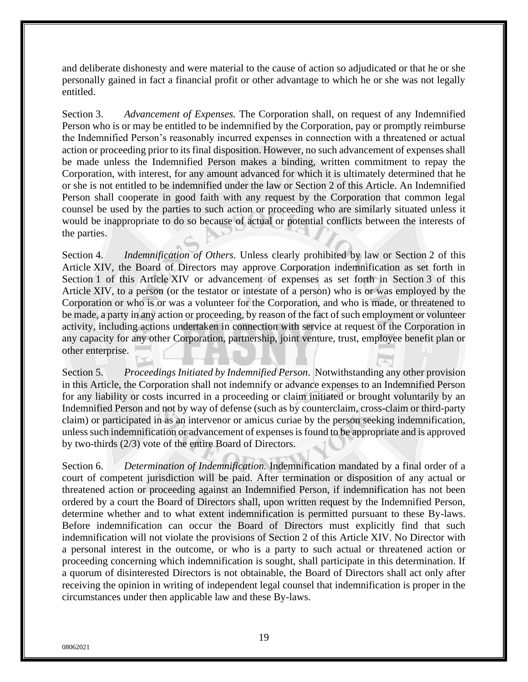and deliberate dishonesty and were material to the cause of action so adjudicated or that he or she personally gained in fact a financial profit or other advantage to which he or she was not legally entitled.

Section 3. *Advancement of Expenses.* The Corporation shall, on request of any Indemnified Person who is or may be entitled to be indemnified by the Corporation, pay or promptly reimburse the Indemnified Person's reasonably incurred expenses in connection with a threatened or actual action or proceeding prior to its final disposition. However, no such advancement of expenses shall be made unless the Indemnified Person makes a binding, written commitment to repay the Corporation, with interest, for any amount advanced for which it is ultimately determined that he or she is not entitled to be indemnified under the law or Section 2 of this Article. An Indemnified Person shall cooperate in good faith with any request by the Corporation that common legal counsel be used by the parties to such action or proceeding who are similarly situated unless it would be inappropriate to do so because of actual or potential conflicts between the interests of the parties.

Section 4. *Indemnification of Others*. Unless clearly prohibited by law or Section 2 of this Article XIV, the Board of Directors may approve Corporation indemnification as set forth in Section 1 of this Article XIV or advancement of expenses as set forth in Section 3 of this Article XIV, to a person (or the testator or intestate of a person) who is or was employed by the Corporation or who is or was a volunteer for the Corporation, and who is made, or threatened to be made, a party in any action or proceeding, by reason of the fact of such employment or volunteer activity, including actions undertaken in connection with service at request of the Corporation in any capacity for any other Corporation, partnership, joint venture, trust, employee benefit plan or other enterprise.

Section 5. *Proceedings Initiated by Indemnified Person*. Notwithstanding any other provision in this Article, the Corporation shall not indemnify or advance expenses to an Indemnified Person for any liability or costs incurred in a proceeding or claim initiated or brought voluntarily by an Indemnified Person and not by way of defense (such as by counterclaim, cross-claim or third-party claim) or participated in as an intervenor or amicus curiae by the person seeking indemnification, unless such indemnification or advancement of expenses is found to be appropriate and is approved by two-thirds (2/3) vote of the entire Board of Directors.

Section 6. *Determination of Indemnification.* Indemnification mandated by a final order of a court of competent jurisdiction will be paid. After termination or disposition of any actual or threatened action or proceeding against an Indemnified Person, if indemnification has not been ordered by a court the Board of Directors shall, upon written request by the Indemnified Person, determine whether and to what extent indemnification is permitted pursuant to these By-laws. Before indemnification can occur the Board of Directors must explicitly find that such indemnification will not violate the provisions of Section 2 of this Article XIV. No Director with a personal interest in the outcome, or who is a party to such actual or threatened action or proceeding concerning which indemnification is sought, shall participate in this determination. If a quorum of disinterested Directors is not obtainable, the Board of Directors shall act only after receiving the opinion in writing of independent legal counsel that indemnification is proper in the circumstances under then applicable law and these By-laws.